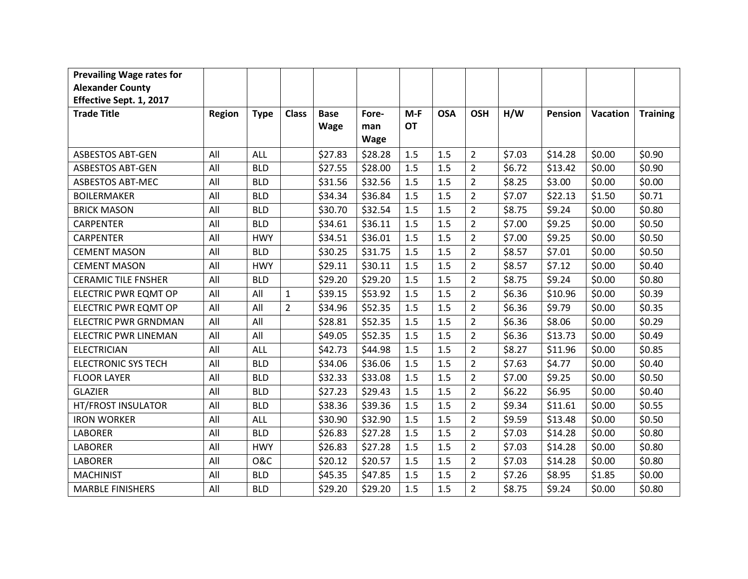| <b>Prevailing Wage rates for</b> |               |                |                |             |         |           |            |                |        |         |                 |                 |
|----------------------------------|---------------|----------------|----------------|-------------|---------|-----------|------------|----------------|--------|---------|-----------------|-----------------|
| <b>Alexander County</b>          |               |                |                |             |         |           |            |                |        |         |                 |                 |
| Effective Sept. 1, 2017          |               |                |                |             |         |           |            |                |        |         |                 |                 |
| <b>Trade Title</b>               | <b>Region</b> | <b>Type</b>    | <b>Class</b>   | <b>Base</b> | Fore-   | $M-F$     | <b>OSA</b> | <b>OSH</b>     | H/W    | Pension | <b>Vacation</b> | <b>Training</b> |
|                                  |               |                |                | <b>Wage</b> | man     | <b>OT</b> |            |                |        |         |                 |                 |
|                                  |               |                |                |             | Wage    |           |            |                |        |         |                 |                 |
| <b>ASBESTOS ABT-GEN</b>          | All           | ALL            |                | \$27.83     | \$28.28 | 1.5       | 1.5        | $\overline{2}$ | \$7.03 | \$14.28 | \$0.00          | \$0.90          |
| <b>ASBESTOS ABT-GEN</b>          | All           | <b>BLD</b>     |                | \$27.55     | \$28.00 | 1.5       | 1.5        | $\overline{2}$ | \$6.72 | \$13.42 | \$0.00          | \$0.90          |
| <b>ASBESTOS ABT-MEC</b>          | All           | <b>BLD</b>     |                | \$31.56     | \$32.56 | 1.5       | 1.5        | $\overline{2}$ | \$8.25 | \$3.00  | \$0.00          | \$0.00          |
| <b>BOILERMAKER</b>               | All           | <b>BLD</b>     |                | \$34.34     | \$36.84 | 1.5       | 1.5        | $\overline{2}$ | \$7.07 | \$22.13 | \$1.50          | \$0.71          |
| <b>BRICK MASON</b>               | All           | <b>BLD</b>     |                | \$30.70     | \$32.54 | 1.5       | 1.5        | $\overline{2}$ | \$8.75 | \$9.24  | \$0.00          | \$0.80          |
| <b>CARPENTER</b>                 | All           | <b>BLD</b>     |                | \$34.61     | \$36.11 | 1.5       | 1.5        | $\overline{2}$ | \$7.00 | \$9.25  | \$0.00          | \$0.50          |
| <b>CARPENTER</b>                 | All           | <b>HWY</b>     |                | \$34.51     | \$36.01 | 1.5       | 1.5        | $\overline{2}$ | \$7.00 | \$9.25  | \$0.00          | \$0.50          |
| <b>CEMENT MASON</b>              | All           | <b>BLD</b>     |                | \$30.25     | \$31.75 | 1.5       | 1.5        | $\overline{2}$ | \$8.57 | \$7.01  | \$0.00          | \$0.50          |
| <b>CEMENT MASON</b>              | All           | <b>HWY</b>     |                | \$29.11     | \$30.11 | 1.5       | 1.5        | $\overline{2}$ | \$8.57 | \$7.12  | \$0.00          | \$0.40          |
| <b>CERAMIC TILE FNSHER</b>       | All           | <b>BLD</b>     |                | \$29.20     | \$29.20 | 1.5       | 1.5        | $\overline{2}$ | \$8.75 | \$9.24  | \$0.00          | \$0.80          |
| <b>ELECTRIC PWR EQMT OP</b>      | All           | All            | $\mathbf{1}$   | \$39.15     | \$53.92 | 1.5       | 1.5        | $\overline{2}$ | \$6.36 | \$10.96 | \$0.00          | \$0.39          |
| ELECTRIC PWR EQMT OP             | All           | All            | $\overline{2}$ | \$34.96     | \$52.35 | 1.5       | 1.5        | $\overline{2}$ | \$6.36 | \$9.79  | \$0.00          | \$0.35          |
| <b>ELECTRIC PWR GRNDMAN</b>      | All           | All            |                | \$28.81     | \$52.35 | 1.5       | 1.5        | $\overline{2}$ | \$6.36 | \$8.06  | \$0.00          | \$0.29          |
| <b>ELECTRIC PWR LINEMAN</b>      | All           | All            |                | \$49.05     | \$52.35 | 1.5       | 1.5        | $\overline{2}$ | \$6.36 | \$13.73 | \$0.00          | \$0.49          |
| <b>ELECTRICIAN</b>               | All           | ALL            |                | \$42.73     | \$44.98 | 1.5       | 1.5        | $\overline{2}$ | \$8.27 | \$11.96 | \$0.00          | \$0.85          |
| <b>ELECTRONIC SYS TECH</b>       | All           | <b>BLD</b>     |                | \$34.06     | \$36.06 | 1.5       | 1.5        | $\overline{2}$ | \$7.63 | \$4.77  | \$0.00          | \$0.40          |
| <b>FLOOR LAYER</b>               | All           | <b>BLD</b>     |                | \$32.33     | \$33.08 | 1.5       | 1.5        | $\overline{2}$ | \$7.00 | \$9.25  | \$0.00          | \$0.50          |
| <b>GLAZIER</b>                   | All           | <b>BLD</b>     |                | \$27.23     | \$29.43 | 1.5       | 1.5        | $\overline{2}$ | \$6.22 | \$6.95  | \$0.00          | \$0.40          |
| HT/FROST INSULATOR               | All           | <b>BLD</b>     |                | \$38.36     | \$39.36 | 1.5       | 1.5        | $\overline{2}$ | \$9.34 | \$11.61 | \$0.00          | \$0.55          |
| <b>IRON WORKER</b>               | All           | ALL            |                | \$30.90     | \$32.90 | 1.5       | 1.5        | $\overline{2}$ | \$9.59 | \$13.48 | \$0.00          | \$0.50          |
| <b>LABORER</b>                   | All           | <b>BLD</b>     |                | \$26.83     | \$27.28 | 1.5       | 1.5        | $\overline{2}$ | \$7.03 | \$14.28 | \$0.00          | \$0.80          |
| <b>LABORER</b>                   | All           | <b>HWY</b>     |                | \$26.83     | \$27.28 | 1.5       | 1.5        | $\overline{2}$ | \$7.03 | \$14.28 | \$0.00          | \$0.80          |
| <b>LABORER</b>                   | All           | <b>O&amp;C</b> |                | \$20.12     | \$20.57 | 1.5       | 1.5        | $\overline{2}$ | \$7.03 | \$14.28 | \$0.00          | \$0.80          |
| <b>MACHINIST</b>                 | All           | <b>BLD</b>     |                | \$45.35     | \$47.85 | 1.5       | 1.5        | $\overline{2}$ | \$7.26 | \$8.95  | \$1.85          | \$0.00          |
| <b>MARBLE FINISHERS</b>          | All           | <b>BLD</b>     |                | \$29.20     | \$29.20 | 1.5       | 1.5        | $\overline{2}$ | \$8.75 | \$9.24  | \$0.00          | \$0.80          |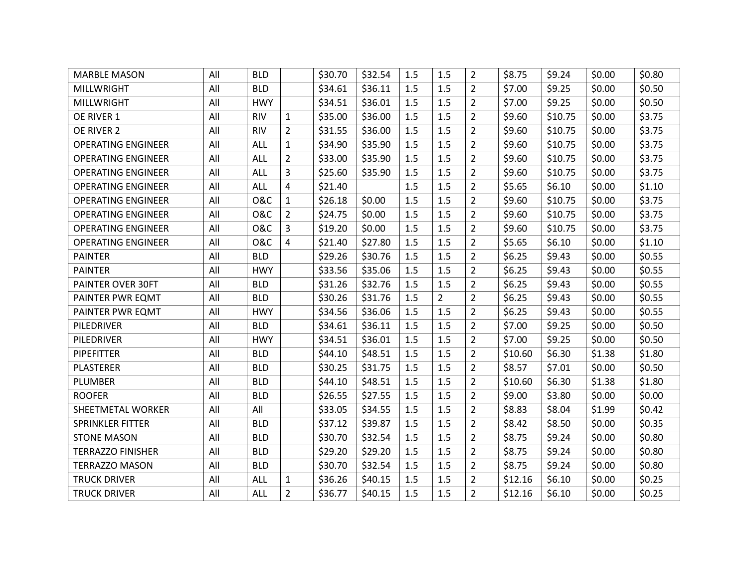| <b>MARBLE MASON</b>       | All | <b>BLD</b>     |                | \$30.70 | \$32.54 | 1.5 | 1.5            | $\overline{2}$ | \$8.75  | \$9.24  | \$0.00 | \$0.80 |
|---------------------------|-----|----------------|----------------|---------|---------|-----|----------------|----------------|---------|---------|--------|--------|
| <b>MILLWRIGHT</b>         | All | <b>BLD</b>     |                | \$34.61 | \$36.11 | 1.5 | 1.5            | $\overline{2}$ | \$7.00  | \$9.25  | \$0.00 | \$0.50 |
| <b>MILLWRIGHT</b>         | All | <b>HWY</b>     |                | \$34.51 | \$36.01 | 1.5 | 1.5            | $\overline{2}$ | \$7.00  | \$9.25  | \$0.00 | \$0.50 |
| OE RIVER 1                | All | <b>RIV</b>     | $\mathbf{1}$   | \$35.00 | \$36.00 | 1.5 | 1.5            | $\overline{2}$ | \$9.60  | \$10.75 | \$0.00 | \$3.75 |
| OE RIVER 2                | All | <b>RIV</b>     | $\overline{2}$ | \$31.55 | \$36.00 | 1.5 | 1.5            | $\overline{2}$ | \$9.60  | \$10.75 | \$0.00 | \$3.75 |
| <b>OPERATING ENGINEER</b> | All | <b>ALL</b>     | $\mathbf{1}$   | \$34.90 | \$35.90 | 1.5 | 1.5            | $\overline{2}$ | \$9.60  | \$10.75 | \$0.00 | \$3.75 |
| <b>OPERATING ENGINEER</b> | All | <b>ALL</b>     | $\overline{2}$ | \$33.00 | \$35.90 | 1.5 | 1.5            | $\overline{2}$ | \$9.60  | \$10.75 | \$0.00 | \$3.75 |
| <b>OPERATING ENGINEER</b> | All | ALL            | 3              | \$25.60 | \$35.90 | 1.5 | 1.5            | $\overline{2}$ | \$9.60  | \$10.75 | \$0.00 | \$3.75 |
| <b>OPERATING ENGINEER</b> | All | <b>ALL</b>     | 4              | \$21.40 |         | 1.5 | 1.5            | $\overline{2}$ | \$5.65  | \$6.10  | \$0.00 | \$1.10 |
| <b>OPERATING ENGINEER</b> | All | <b>O&amp;C</b> | $\mathbf{1}$   | \$26.18 | \$0.00  | 1.5 | 1.5            | $\overline{2}$ | \$9.60  | \$10.75 | \$0.00 | \$3.75 |
| <b>OPERATING ENGINEER</b> | All | <b>O&amp;C</b> | $\overline{2}$ | \$24.75 | \$0.00  | 1.5 | 1.5            | $\overline{2}$ | \$9.60  | \$10.75 | \$0.00 | \$3.75 |
| <b>OPERATING ENGINEER</b> | All | <b>O&amp;C</b> | 3              | \$19.20 | \$0.00  | 1.5 | 1.5            | $\overline{2}$ | \$9.60  | \$10.75 | \$0.00 | \$3.75 |
| <b>OPERATING ENGINEER</b> | All | <b>O&amp;C</b> | 4              | \$21.40 | \$27.80 | 1.5 | 1.5            | $\overline{2}$ | \$5.65  | \$6.10  | \$0.00 | \$1.10 |
| <b>PAINTER</b>            | All | <b>BLD</b>     |                | \$29.26 | \$30.76 | 1.5 | 1.5            | $\overline{2}$ | \$6.25  | \$9.43  | \$0.00 | \$0.55 |
| <b>PAINTER</b>            | All | <b>HWY</b>     |                | \$33.56 | \$35.06 | 1.5 | 1.5            | $\overline{2}$ | \$6.25  | \$9.43  | \$0.00 | \$0.55 |
| PAINTER OVER 30FT         | All | <b>BLD</b>     |                | \$31.26 | \$32.76 | 1.5 | 1.5            | $\overline{2}$ | \$6.25  | \$9.43  | \$0.00 | \$0.55 |
| PAINTER PWR EQMT          | All | <b>BLD</b>     |                | \$30.26 | \$31.76 | 1.5 | $\overline{2}$ | $\overline{2}$ | \$6.25  | \$9.43  | \$0.00 | \$0.55 |
| PAINTER PWR EQMT          | All | <b>HWY</b>     |                | \$34.56 | \$36.06 | 1.5 | 1.5            | $\overline{2}$ | \$6.25  | \$9.43  | \$0.00 | \$0.55 |
| PILEDRIVER                | All | <b>BLD</b>     |                | \$34.61 | \$36.11 | 1.5 | 1.5            | $\overline{2}$ | \$7.00  | \$9.25  | \$0.00 | \$0.50 |
| PILEDRIVER                | All | <b>HWY</b>     |                | \$34.51 | \$36.01 | 1.5 | 1.5            | $\overline{2}$ | \$7.00  | \$9.25  | \$0.00 | \$0.50 |
| <b>PIPEFITTER</b>         | All | <b>BLD</b>     |                | \$44.10 | \$48.51 | 1.5 | 1.5            | $\overline{2}$ | \$10.60 | \$6.30  | \$1.38 | \$1.80 |
| <b>PLASTERER</b>          | All | <b>BLD</b>     |                | \$30.25 | \$31.75 | 1.5 | 1.5            | $\overline{2}$ | \$8.57  | \$7.01  | \$0.00 | \$0.50 |
| <b>PLUMBER</b>            | All | <b>BLD</b>     |                | \$44.10 | \$48.51 | 1.5 | 1.5            | $\overline{2}$ | \$10.60 | \$6.30  | \$1.38 | \$1.80 |
| <b>ROOFER</b>             | All | <b>BLD</b>     |                | \$26.55 | \$27.55 | 1.5 | 1.5            | $\overline{2}$ | \$9.00  | \$3.80  | \$0.00 | \$0.00 |
| SHEETMETAL WORKER         | All | All            |                | \$33.05 | \$34.55 | 1.5 | 1.5            | $\overline{2}$ | \$8.83  | \$8.04  | \$1.99 | \$0.42 |
| <b>SPRINKLER FITTER</b>   | All | <b>BLD</b>     |                | \$37.12 | \$39.87 | 1.5 | 1.5            | $\overline{2}$ | \$8.42  | \$8.50  | \$0.00 | \$0.35 |
| <b>STONE MASON</b>        | All | <b>BLD</b>     |                | \$30.70 | \$32.54 | 1.5 | 1.5            | $\overline{2}$ | \$8.75  | \$9.24  | \$0.00 | \$0.80 |
| <b>TERRAZZO FINISHER</b>  | All | <b>BLD</b>     |                | \$29.20 | \$29.20 | 1.5 | 1.5            | $\overline{2}$ | \$8.75  | \$9.24  | \$0.00 | \$0.80 |
| <b>TERRAZZO MASON</b>     | All | <b>BLD</b>     |                | \$30.70 | \$32.54 | 1.5 | 1.5            | $\overline{2}$ | \$8.75  | \$9.24  | \$0.00 | \$0.80 |
| <b>TRUCK DRIVER</b>       | All | <b>ALL</b>     | $\mathbf{1}$   | \$36.26 | \$40.15 | 1.5 | 1.5            | $\overline{2}$ | \$12.16 | \$6.10  | \$0.00 | \$0.25 |
| <b>TRUCK DRIVER</b>       | All | <b>ALL</b>     | $\overline{2}$ | \$36.77 | \$40.15 | 1.5 | 1.5            | $\overline{2}$ | \$12.16 | \$6.10  | \$0.00 | \$0.25 |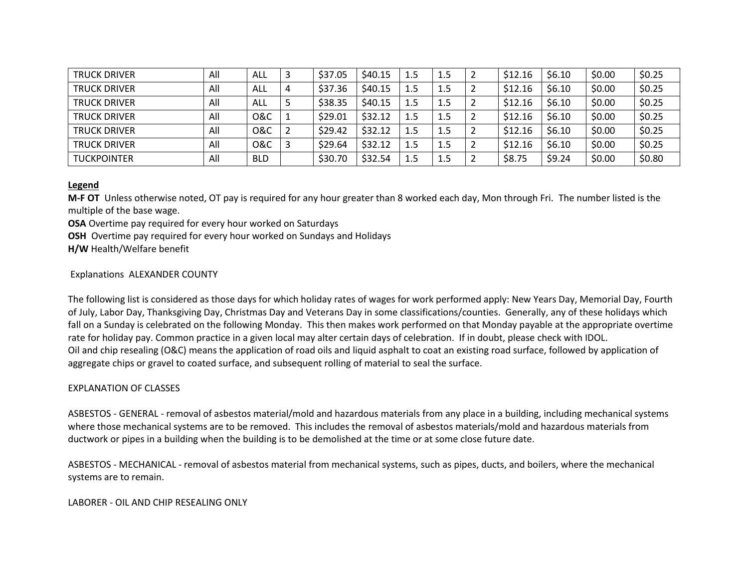| <b>TRUCK DRIVER</b> | All | ALL            | \$37.05 | \$40.15 | 1.5 | 1.5 | z | \$12.16 | \$6.10 | \$0.00 | \$0.25 |
|---------------------|-----|----------------|---------|---------|-----|-----|---|---------|--------|--------|--------|
| <b>TRUCK DRIVER</b> | All | ALL            | \$37.36 | \$40.15 | 1.5 | 1.5 | ∠ | \$12.16 | \$6.10 | \$0.00 | \$0.25 |
| <b>TRUCK DRIVER</b> | All | ALL            | \$38.35 | \$40.15 | 1.5 | 1.5 |   | \$12.16 | \$6.10 | \$0.00 | \$0.25 |
| <b>TRUCK DRIVER</b> | All | <b>O&amp;C</b> | \$29.01 | \$32.12 | 1.5 | 1.5 |   | \$12.16 | \$6.10 | \$0.00 | \$0.25 |
| <b>TRUCK DRIVER</b> | All | <b>O&amp;C</b> | \$29.42 | \$32.12 | 1.5 | 1.5 | 2 | \$12.16 | \$6.10 | \$0.00 | \$0.25 |
| <b>TRUCK DRIVER</b> | All | 0&C            | \$29.64 | \$32.12 | 1.5 | 1.5 | ∠ | \$12.16 | \$6.10 | \$0.00 | \$0.25 |
| <b>TUCKPOINTER</b>  | All | <b>BLD</b>     | \$30.70 | \$32.54 | 1.5 | 1.5 |   | \$8.75  | \$9.24 | \$0.00 | \$0.80 |

### **Legend**

**M-F OT** Unless otherwise noted, OT pay is required for any hour greater than 8 worked each day, Mon through Fri. The number listed is the multiple of the base wage.

**OSA** Overtime pay required for every hour worked on Saturdays

**OSH** Overtime pay required for every hour worked on Sundays and Holidays

**H/W** Health/Welfare benefit

## Explanations ALEXANDER COUNTY

The following list is considered as those days for which holiday rates of wages for work performed apply: New Years Day, Memorial Day, Fourth of July, Labor Day, Thanksgiving Day, Christmas Day and Veterans Day in some classifications/counties. Generally, any of these holidays which fall on a Sunday is celebrated on the following Monday. This then makes work performed on that Monday payable at the appropriate overtime rate for holiday pay. Common practice in a given local may alter certain days of celebration. If in doubt, please check with IDOL. Oil and chip resealing (O&C) means the application of road oils and liquid asphalt to coat an existing road surface, followed by application of aggregate chips or gravel to coated surface, and subsequent rolling of material to seal the surface.

### EXPLANATION OF CLASSES

ASBESTOS - GENERAL - removal of asbestos material/mold and hazardous materials from any place in a building, including mechanical systems where those mechanical systems are to be removed. This includes the removal of asbestos materials/mold and hazardous materials from ductwork or pipes in a building when the building is to be demolished at the time or at some close future date.

ASBESTOS - MECHANICAL - removal of asbestos material from mechanical systems, such as pipes, ducts, and boilers, where the mechanical systems are to remain.

LABORER - OIL AND CHIP RESEALING ONLY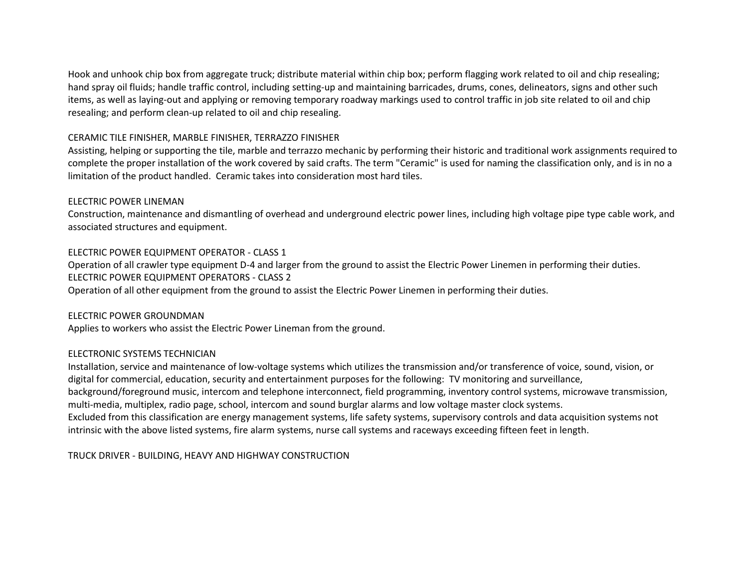Hook and unhook chip box from aggregate truck; distribute material within chip box; perform flagging work related to oil and chip resealing; hand spray oil fluids; handle traffic control, including setting-up and maintaining barricades, drums, cones, delineators, signs and other such items, as well as laying-out and applying or removing temporary roadway markings used to control traffic in job site related to oil and chip resealing; and perform clean-up related to oil and chip resealing.

# CERAMIC TILE FINISHER, MARBLE FINISHER, TERRAZZO FINISHER

Assisting, helping or supporting the tile, marble and terrazzo mechanic by performing their historic and traditional work assignments required to complete the proper installation of the work covered by said crafts. The term "Ceramic" is used for naming the classification only, and is in no a limitation of the product handled. Ceramic takes into consideration most hard tiles.

## ELECTRIC POWER LINEMAN

Construction, maintenance and dismantling of overhead and underground electric power lines, including high voltage pipe type cable work, and associated structures and equipment.

# ELECTRIC POWER EQUIPMENT OPERATOR - CLASS 1

Operation of all crawler type equipment D-4 and larger from the ground to assist the Electric Power Linemen in performing their duties. ELECTRIC POWER EQUIPMENT OPERATORS - CLASS 2

Operation of all other equipment from the ground to assist the Electric Power Linemen in performing their duties.

### ELECTRIC POWER GROUNDMAN

Applies to workers who assist the Electric Power Lineman from the ground.

### ELECTRONIC SYSTEMS TECHNICIAN

Installation, service and maintenance of low-voltage systems which utilizes the transmission and/or transference of voice, sound, vision, or digital for commercial, education, security and entertainment purposes for the following: TV monitoring and surveillance, background/foreground music, intercom and telephone interconnect, field programming, inventory control systems, microwave transmission, multi-media, multiplex, radio page, school, intercom and sound burglar alarms and low voltage master clock systems. Excluded from this classification are energy management systems, life safety systems, supervisory controls and data acquisition systems not intrinsic with the above listed systems, fire alarm systems, nurse call systems and raceways exceeding fifteen feet in length.

TRUCK DRIVER - BUILDING, HEAVY AND HIGHWAY CONSTRUCTION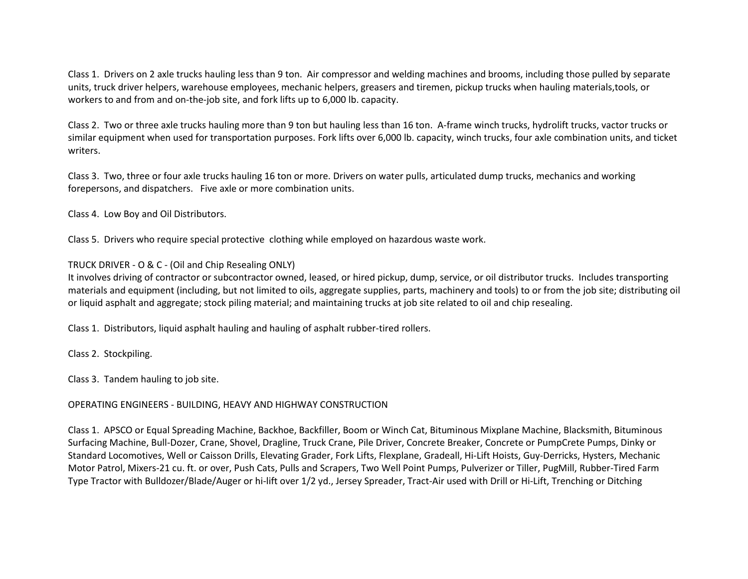Class 1. Drivers on 2 axle trucks hauling less than 9 ton. Air compressor and welding machines and brooms, including those pulled by separate units, truck driver helpers, warehouse employees, mechanic helpers, greasers and tiremen, pickup trucks when hauling materials,tools, or workers to and from and on-the-job site, and fork lifts up to 6,000 lb. capacity.

Class 2. Two or three axle trucks hauling more than 9 ton but hauling less than 16 ton. A-frame winch trucks, hydrolift trucks, vactor trucks or similar equipment when used for transportation purposes. Fork lifts over 6,000 lb. capacity, winch trucks, four axle combination units, and ticket writers.

Class 3. Two, three or four axle trucks hauling 16 ton or more. Drivers on water pulls, articulated dump trucks, mechanics and working forepersons, and dispatchers. Five axle or more combination units.

Class 4. Low Boy and Oil Distributors.

Class 5. Drivers who require special protective clothing while employed on hazardous waste work.

TRUCK DRIVER - O & C - (Oil and Chip Resealing ONLY)

It involves driving of contractor or subcontractor owned, leased, or hired pickup, dump, service, or oil distributor trucks. Includes transporting materials and equipment (including, but not limited to oils, aggregate supplies, parts, machinery and tools) to or from the job site; distributing oil or liquid asphalt and aggregate; stock piling material; and maintaining trucks at job site related to oil and chip resealing.

Class 1. Distributors, liquid asphalt hauling and hauling of asphalt rubber-tired rollers.

Class 2. Stockpiling.

Class 3. Tandem hauling to job site.

# OPERATING ENGINEERS - BUILDING, HEAVY AND HIGHWAY CONSTRUCTION

Class 1. APSCO or Equal Spreading Machine, Backhoe, Backfiller, Boom or Winch Cat, Bituminous Mixplane Machine, Blacksmith, Bituminous Surfacing Machine, Bull-Dozer, Crane, Shovel, Dragline, Truck Crane, Pile Driver, Concrete Breaker, Concrete or PumpCrete Pumps, Dinky or Standard Locomotives, Well or Caisson Drills, Elevating Grader, Fork Lifts, Flexplane, Gradeall, Hi-Lift Hoists, Guy-Derricks, Hysters, Mechanic Motor Patrol, Mixers-21 cu. ft. or over, Push Cats, Pulls and Scrapers, Two Well Point Pumps, Pulverizer or Tiller, PugMill, Rubber-Tired Farm Type Tractor with Bulldozer/Blade/Auger or hi-lift over 1/2 yd., Jersey Spreader, Tract-Air used with Drill or Hi-Lift, Trenching or Ditching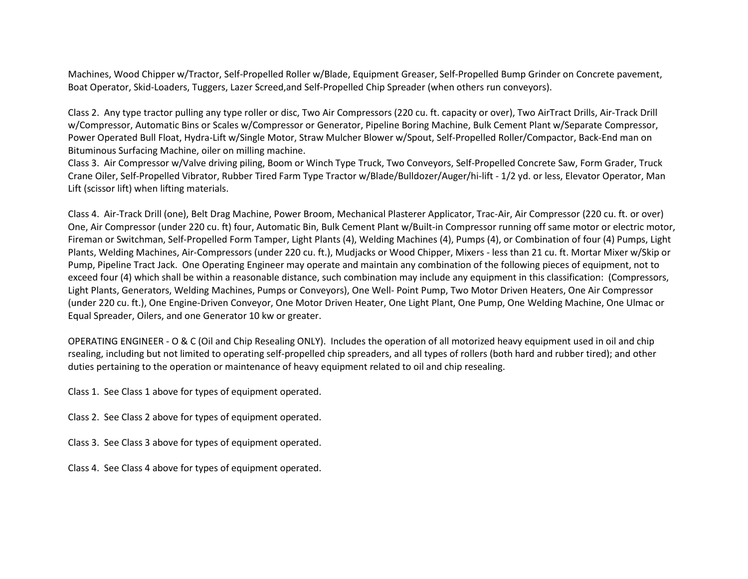Machines, Wood Chipper w/Tractor, Self-Propelled Roller w/Blade, Equipment Greaser, Self-Propelled Bump Grinder on Concrete pavement, Boat Operator, Skid-Loaders, Tuggers, Lazer Screed,and Self-Propelled Chip Spreader (when others run conveyors).

Class 2. Any type tractor pulling any type roller or disc, Two Air Compressors (220 cu. ft. capacity or over), Two AirTract Drills, Air-Track Drill w/Compressor, Automatic Bins or Scales w/Compressor or Generator, Pipeline Boring Machine, Bulk Cement Plant w/Separate Compressor, Power Operated Bull Float, Hydra-Lift w/Single Motor, Straw Mulcher Blower w/Spout, Self-Propelled Roller/Compactor, Back-End man on Bituminous Surfacing Machine, oiler on milling machine.

Class 3. Air Compressor w/Valve driving piling, Boom or Winch Type Truck, Two Conveyors, Self-Propelled Concrete Saw, Form Grader, Truck Crane Oiler, Self-Propelled Vibrator, Rubber Tired Farm Type Tractor w/Blade/Bulldozer/Auger/hi-lift - 1/2 yd. or less, Elevator Operator, Man Lift (scissor lift) when lifting materials.

Class 4. Air-Track Drill (one), Belt Drag Machine, Power Broom, Mechanical Plasterer Applicator, Trac-Air, Air Compressor (220 cu. ft. or over) One, Air Compressor (under 220 cu. ft) four, Automatic Bin, Bulk Cement Plant w/Built-in Compressor running off same motor or electric motor, Fireman or Switchman, Self-Propelled Form Tamper, Light Plants (4), Welding Machines (4), Pumps (4), or Combination of four (4) Pumps, Light Plants, Welding Machines, Air-Compressors (under 220 cu. ft.), Mudjacks or Wood Chipper, Mixers - less than 21 cu. ft. Mortar Mixer w/Skip or Pump, Pipeline Tract Jack. One Operating Engineer may operate and maintain any combination of the following pieces of equipment, not to exceed four (4) which shall be within a reasonable distance, such combination may include any equipment in this classification: (Compressors, Light Plants, Generators, Welding Machines, Pumps or Conveyors), One Well- Point Pump, Two Motor Driven Heaters, One Air Compressor (under 220 cu. ft.), One Engine-Driven Conveyor, One Motor Driven Heater, One Light Plant, One Pump, One Welding Machine, One Ulmac or Equal Spreader, Oilers, and one Generator 10 kw or greater.

OPERATING ENGINEER - O & C (Oil and Chip Resealing ONLY). Includes the operation of all motorized heavy equipment used in oil and chip rsealing, including but not limited to operating self-propelled chip spreaders, and all types of rollers (both hard and rubber tired); and other duties pertaining to the operation or maintenance of heavy equipment related to oil and chip resealing.

Class 1. See Class 1 above for types of equipment operated.

Class 2. See Class 2 above for types of equipment operated.

Class 3. See Class 3 above for types of equipment operated.

Class 4. See Class 4 above for types of equipment operated.